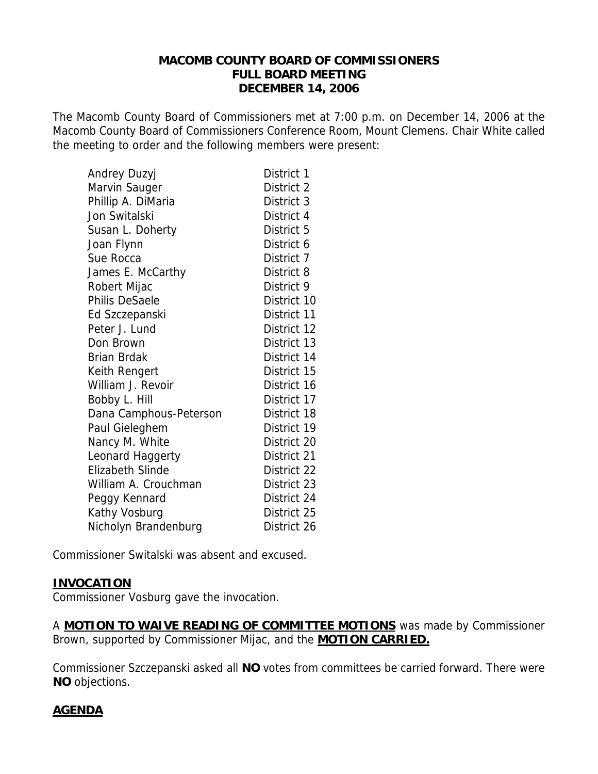## **MACOMB COUNTY BOARD OF COMMISSIONERS FULL BOARD MEETING DECEMBER 14, 2006**

The Macomb County Board of Commissioners met at 7:00 p.m. on December 14, 2006 at the Macomb County Board of Commissioners Conference Room, Mount Clemens. Chair White called the meeting to order and the following members were present:

| Andrey Duzyj           | District 1  |
|------------------------|-------------|
| Marvin Sauger          | District 2  |
| Phillip A. DiMaria     | District 3  |
| Jon Switalski          | District 4  |
| Susan L. Doherty       | District 5  |
| Joan Flynn             | District 6  |
| Sue Rocca              | District 7  |
| James E. McCarthy      | District 8  |
| Robert Mijac           | District 9  |
| <b>Philis DeSaele</b>  | District 10 |
| Ed Szczepanski         | District 11 |
| Peter J. Lund          | District 12 |
| Don Brown              | District 13 |
| <b>Brian Brdak</b>     | District 14 |
| Keith Rengert          | District 15 |
| William J. Revoir      | District 16 |
| Bobby L. Hill          | District 17 |
| Dana Camphous-Peterson | District 18 |
| Paul Gieleghem         | District 19 |
| Nancy M. White         | District 20 |
| Leonard Haggerty       | District 21 |
| Elizabeth Slinde       | District 22 |
| William A. Crouchman   | District 23 |
| Peggy Kennard          | District 24 |
| Kathy Vosburg          | District 25 |
| Nicholyn Brandenburg   | District 26 |

Commissioner Switalski was absent and excused.

# **INVOCATION**

Commissioner Vosburg gave the invocation.

A **MOTION TO WAIVE READING OF COMMITTEE MOTIONS** was made by Commissioner Brown, supported by Commissioner Mijac, and the **MOTION CARRIED.**

Commissioner Szczepanski asked all **NO** votes from committees be carried forward. There were **NO** objections.

# **AGENDA**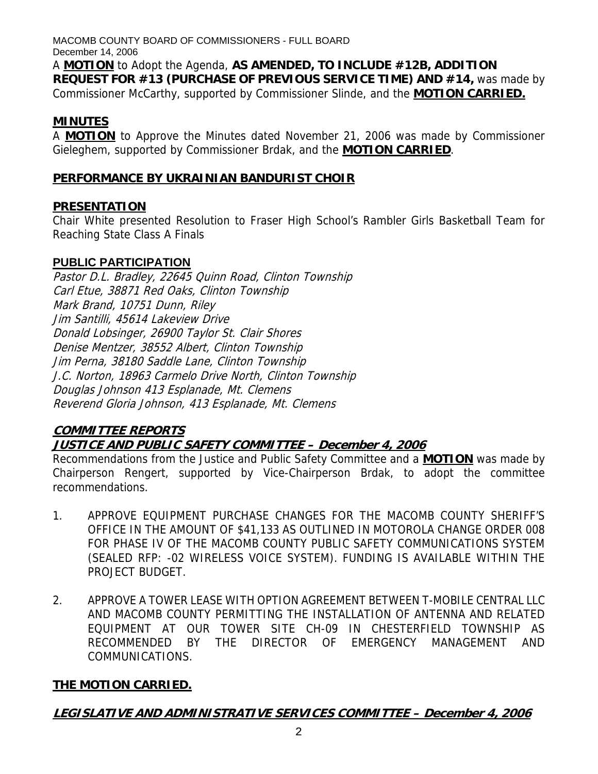MACOMB COUNTY BOARD OF COMMISSIONERS - FULL BOARD December 14, 2006 A **MOTION** to Adopt the Agenda, **AS AMENDED, TO INCLUDE #12B, ADDITION REQUEST FOR #13 (PURCHASE OF PREVIOUS SERVICE TIME) AND #14,** was made by Commissioner McCarthy, supported by Commissioner Slinde, and the **MOTION CARRIED.**

# **MINUTES**

A **MOTION** to Approve the Minutes dated November 21, 2006 was made by Commissioner Gieleghem, supported by Commissioner Brdak, and the **MOTION CARRIED**.

# **PERFORMANCE BY UKRAINIAN BANDURIST CHOIR**

# **PRESENTATION**

Chair White presented Resolution to Fraser High School's Rambler Girls Basketball Team for Reaching State Class A Finals

# **PUBLIC PARTICIPATION**

Pastor D.L. Bradley, 22645 Quinn Road, Clinton Township Carl Etue, 38871 Red Oaks, Clinton Township Mark Brand, 10751 Dunn, Riley Jim Santilli, 45614 Lakeview Drive Donald Lobsinger, 26900 Taylor St. Clair Shores Denise Mentzer, 38552 Albert, Clinton Township Jim Perna, 38180 Saddle Lane, Clinton Township J.C. Norton, 18963 Carmelo Drive North, Clinton Township Douglas Johnson 413 Esplanade, Mt. Clemens Reverend Gloria Johnson, 413 Esplanade, Mt. Clemens

# **COMMITTEE REPORTS JUSTICE AND PUBLIC SAFETY COMMITTEE – December 4, 2006**

Recommendations from the Justice and Public Safety Committee and a **MOTION** was made by Chairperson Rengert, supported by Vice-Chairperson Brdak, to adopt the committee recommendations.

- 1. APPROVE EQUIPMENT PURCHASE CHANGES FOR THE MACOMB COUNTY SHERIFF'S OFFICE IN THE AMOUNT OF \$41,133 AS OUTLINED IN MOTOROLA CHANGE ORDER 008 FOR PHASE IV OF THE MACOMB COUNTY PUBLIC SAFETY COMMUNICATIONS SYSTEM (SEALED RFP: -02 WIRELESS VOICE SYSTEM). FUNDING IS AVAILABLE WITHIN THE PROJECT BUDGET.
- 2. APPROVE A TOWER LEASE WITH OPTION AGREEMENT BETWEEN T-MOBILE CENTRAL LLC AND MACOMB COUNTY PERMITTING THE INSTALLATION OF ANTENNA AND RELATED EQUIPMENT AT OUR TOWER SITE CH-09 IN CHESTERFIELD TOWNSHIP AS RECOMMENDED BY THE DIRECTOR OF EMERGENCY MANAGEMENT AND COMMUNICATIONS.

# **THE MOTION CARRIED.**

**LEGISLATIVE AND ADMINISTRATIVE SERVICES COMMITTEE – December 4, 2006**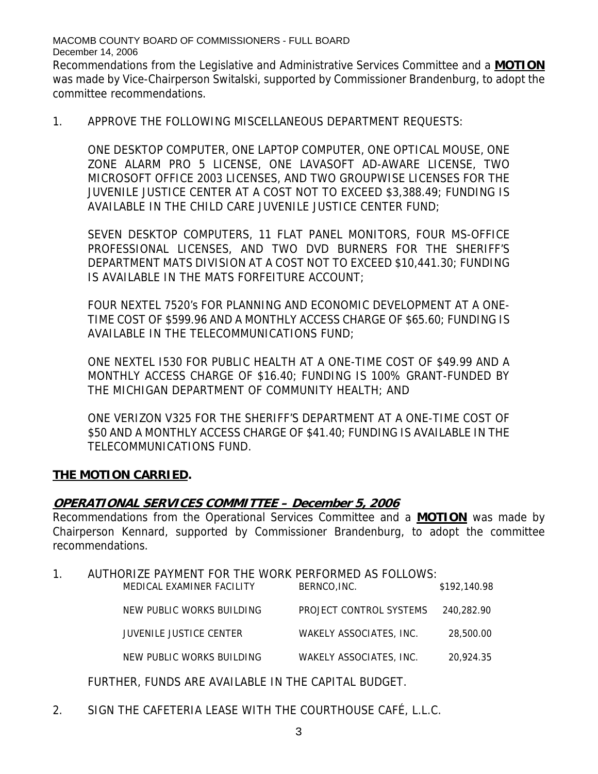Recommendations from the Legislative and Administrative Services Committee and a **MOTION** was made by Vice-Chairperson Switalski, supported by Commissioner Brandenburg, to adopt the committee recommendations.

1. APPROVE THE FOLLOWING MISCELLANEOUS DEPARTMENT REQUESTS:

ONE DESKTOP COMPUTER, ONE LAPTOP COMPUTER, ONE OPTICAL MOUSE, ONE ZONE ALARM PRO 5 LICENSE, ONE LAVASOFT AD-AWARE LICENSE, TWO MICROSOFT OFFICE 2003 LICENSES, AND TWO GROUPWISE LICENSES FOR THE JUVENILE JUSTICE CENTER AT A COST NOT TO EXCEED \$3,388.49; FUNDING IS AVAILABLE IN THE CHILD CARE JUVENILE JUSTICE CENTER FUND;

SEVEN DESKTOP COMPUTERS, 11 FLAT PANEL MONITORS, FOUR MS-OFFICE PROFESSIONAL LICENSES, AND TWO DVD BURNERS FOR THE SHERIFF'S DEPARTMENT MATS DIVISION AT A COST NOT TO EXCEED \$10,441.30; FUNDING IS AVAILABLE IN THE MATS FORFEITURE ACCOUNT;

FOUR NEXTEL 7520's FOR PLANNING AND ECONOMIC DEVELOPMENT AT A ONE-TIME COST OF \$599.96 AND A MONTHLY ACCESS CHARGE OF \$65.60; FUNDING IS AVAILABLE IN THE TELECOMMUNICATIONS FUND;

ONE NEXTEL I530 FOR PUBLIC HEALTH AT A ONE-TIME COST OF \$49.99 AND A MONTHLY ACCESS CHARGE OF \$16.40; FUNDING IS 100% GRANT-FUNDED BY THE MICHIGAN DEPARTMENT OF COMMUNITY HEALTH; AND

ONE VERIZON V325 FOR THE SHERIFF'S DEPARTMENT AT A ONE-TIME COST OF \$50 AND A MONTHLY ACCESS CHARGE OF \$41.40; FUNDING IS AVAILABLE IN THE TELECOMMUNICATIONS FUND.

# **THE MOTION CARRIED.**

# **OPERATIONAL SERVICES COMMITTEE – December 5, 2006**

Recommendations from the Operational Services Committee and a **MOTION** was made by Chairperson Kennard, supported by Commissioner Brandenburg, to adopt the committee recommendations.

| AUTHORIZE PAYMENT FOR THE WORK PERFORMED AS FOLLOWS: |                    |                     |
|------------------------------------------------------|--------------------|---------------------|
| MEDICAL EVAMINED EACH ITV                            | <b>DEDNICO INC</b> | <b>\$102.140.00</b> |

| MEDICAL EXAMINER FACILITY | BERNCO.INC.             | \$192.140.98 |
|---------------------------|-------------------------|--------------|
| NEW PUBLIC WORKS BUILDING | PROJECT CONTROL SYSTEMS | 240.282.90   |
| JUVENILE JUSTICE CENTER   | WAKELY ASSOCIATES, INC. | 28,500.00    |
| NEW PUBLIC WORKS BUILDING | WAKELY ASSOCIATES, INC. | 20.924.35    |

FURTHER, FUNDS ARE AVAILABLE IN THE CAPITAL BUDGET.

2. SIGN THE CAFETERIA LEASE WITH THE COURTHOUSE CAFÉ, L.L.C.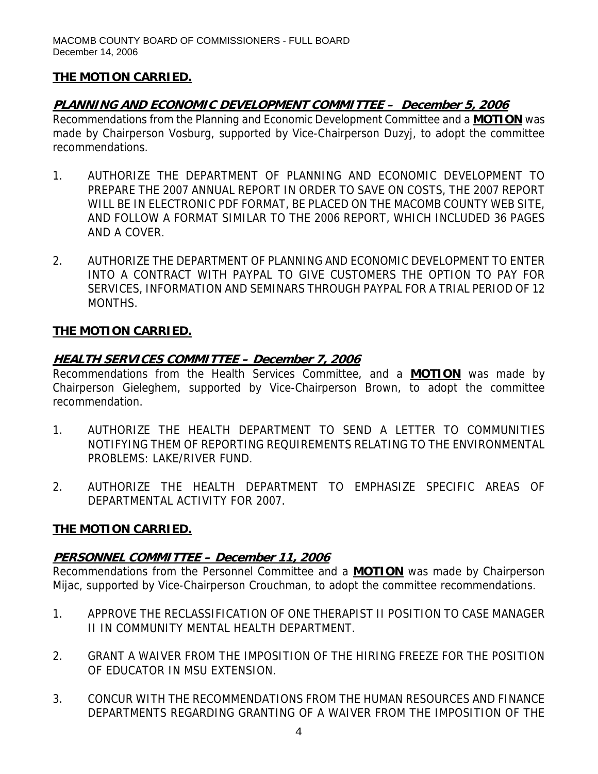# **THE MOTION CARRIED.**

# **PLANNING AND ECONOMIC DEVELOPMENT COMMITTEE – December 5, 2006**

Recommendations from the Planning and Economic Development Committee and a **MOTION** was made by Chairperson Vosburg, supported by Vice-Chairperson Duzyj, to adopt the committee recommendations.

- 1. AUTHORIZE THE DEPARTMENT OF PLANNING AND ECONOMIC DEVELOPMENT TO PREPARE THE 2007 ANNUAL REPORT IN ORDER TO SAVE ON COSTS, THE 2007 REPORT WILL BE IN ELECTRONIC PDF FORMAT, BE PLACED ON THE MACOMB COUNTY WEB SITE, AND FOLLOW A FORMAT SIMILAR TO THE 2006 REPORT, WHICH INCLUDED 36 PAGES AND A COVER.
- 2. AUTHORIZE THE DEPARTMENT OF PLANNING AND ECONOMIC DEVELOPMENT TO ENTER INTO A CONTRACT WITH PAYPAL TO GIVE CUSTOMERS THE OPTION TO PAY FOR SERVICES, INFORMATION AND SEMINARS THROUGH PAYPAL FOR A TRIAL PERIOD OF 12 MONTHS.

# **THE MOTION CARRIED.**

# **HEALTH SERVICES COMMITTEE – December 7, 2006**

Recommendations from the Health Services Committee, and a **MOTION** was made by Chairperson Gieleghem, supported by Vice-Chairperson Brown, to adopt the committee recommendation.

- 1. AUTHORIZE THE HEALTH DEPARTMENT TO SEND A LETTER TO COMMUNITIES NOTIFYING THEM OF REPORTING REQUIREMENTS RELATING TO THE ENVIRONMENTAL PROBLEMS: LAKE/RIVER FUND.
- 2. AUTHORIZE THE HEALTH DEPARTMENT TO EMPHASIZE SPECIFIC AREAS OF DEPARTMENTAL ACTIVITY FOR 2007.

# **THE MOTION CARRIED.**

# **PERSONNEL COMMITTEE – December 11, 2006**

Recommendations from the Personnel Committee and a **MOTION** was made by Chairperson Mijac, supported by Vice-Chairperson Crouchman, to adopt the committee recommendations.

- 1. APPROVE THE RECLASSIFICATION OF ONE THERAPIST II POSITION TO CASE MANAGER II IN COMMUNITY MENTAL HEALTH DEPARTMENT.
- 2. GRANT A WAIVER FROM THE IMPOSITION OF THE HIRING FREEZE FOR THE POSITION OF EDUCATOR IN MSU EXTENSION.
- 3. CONCUR WITH THE RECOMMENDATIONS FROM THE HUMAN RESOURCES AND FINANCE DEPARTMENTS REGARDING GRANTING OF A WAIVER FROM THE IMPOSITION OF THE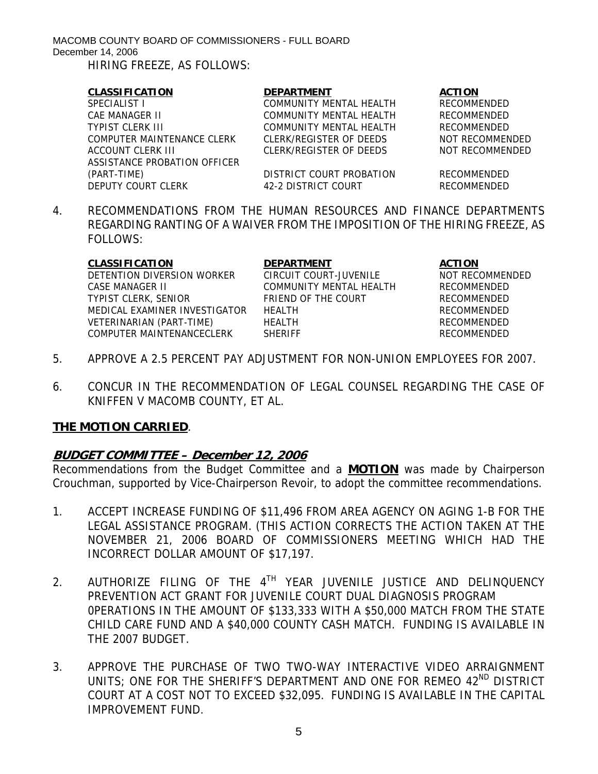| <b>CLASSIFICATION</b>        | <b>DEPARTMENT</b>        | <b>ACTION</b>      |
|------------------------------|--------------------------|--------------------|
| SPECIALIST I                 | COMMUNITY MENTAL HEALTH  | <b>RECOMMENDED</b> |
| CAF MANAGFR II               | COMMUNITY MENTAL HEALTH  | <b>RECOMMENDED</b> |
| <b>TYPIST CLERK III</b>      | COMMUNITY MENTAL HEALTH  | RECOMMENDED        |
| COMPUTER MAINTENANCE CLERK   | CLERK/REGISTER OF DEEDS  | NOT RECOMMENDED    |
| ACCOUNT CLERK III            | CLERK/REGISTER OF DEEDS  | NOT RECOMMENDED    |
| ASSISTANCE PROBATION OFFICER |                          |                    |
| (PART-TIME)                  | DISTRICT COURT PROBATION | <b>RECOMMENDED</b> |
| DEPUTY COURT CLERK           | 42-2 DISTRICT COURT      | <b>RECOMMENDED</b> |

4. RECOMMENDATIONS FROM THE HUMAN RESOURCES AND FINANCE DEPARTMENTS REGARDING RANTING OF A WAIVER FROM THE IMPOSITION OF THE HIRING FREEZE, AS FOLLOWS:

| CLASSIFICATION                | <b>DEPARTMENT</b>       | <b>ACTION</b>  |
|-------------------------------|-------------------------|----------------|
| DETENTION DIVERSION WORKER    | CIRCUIT COURT-JUVENILE  | <b>NOT REC</b> |
| CASE MANAGER II               | COMMUNITY MENTAL HEALTH | RECOMMI        |
| TYPIST CLERK, SENIOR          | FRIEND OF THE COURT     | RECOMMI        |
| MEDICAL EXAMINER INVESTIGATOR | HFAI TH                 | <b>RECOMMI</b> |
| VETERINARIAN (PART-TIME)      | <b>HEALTH</b>           | RECOMMI        |
| COMPUTER MAINTENANCECLERK     | <b>SHERIFF</b>          | <b>RECOMMI</b> |
|                               |                         |                |

CIRCUIT COURT-JUVENILE NOT RECOMMENDED COMMUNITY MENTAL HEALTH RECOMMENDED FRIEND OF THE COURT RECOMMENDED MEDICAL EXAMINER INVESTIGATOR HEALTH RECOMMENDED VETERINARIAN (PART-TIME) HEALTH RECOMMENDED SHERIFF RECOMMENDED

- 5. APPROVE A 2.5 PERCENT PAY ADJUSTMENT FOR NON-UNION EMPLOYEES FOR 2007.
- 6. CONCUR IN THE RECOMMENDATION OF LEGAL COUNSEL REGARDING THE CASE OF KNIFFEN V MACOMB COUNTY, ET AL.

# **THE MOTION CARRIED**.

# **BUDGET COMMITTEE – December 12, 2006**

Recommendations from the Budget Committee and a **MOTION** was made by Chairperson Crouchman, supported by Vice-Chairperson Revoir, to adopt the committee recommendations.

- 1. ACCEPT INCREASE FUNDING OF \$11,496 FROM AREA AGENCY ON AGING 1-B FOR THE LEGAL ASSISTANCE PROGRAM. (THIS ACTION CORRECTS THE ACTION TAKEN AT THE NOVEMBER 21, 2006 BOARD OF COMMISSIONERS MEETING WHICH HAD THE INCORRECT DOLLAR AMOUNT OF \$17,197.
- 2. AUTHORIZE FILING OF THE 4<sup>TH</sup> YEAR JUVENILE JUSTICE AND DELINQUENCY PREVENTION ACT GRANT FOR JUVENILE COURT DUAL DIAGNOSIS PROGRAM 0PERATIONS IN THE AMOUNT OF \$133,333 WITH A \$50,000 MATCH FROM THE STATE CHILD CARE FUND AND A \$40,000 COUNTY CASH MATCH. FUNDING IS AVAILABLE IN THE 2007 BUDGET.
- 3. APPROVE THE PURCHASE OF TWO TWO-WAY INTERACTIVE VIDEO ARRAIGNMENT UNITS; ONE FOR THE SHERIFF'S DEPARTMENT AND ONE FOR REMEO 42<sup>ND</sup> DISTRICT COURT AT A COST NOT TO EXCEED \$32,095. FUNDING IS AVAILABLE IN THE CAPITAL IMPROVEMENT FUND.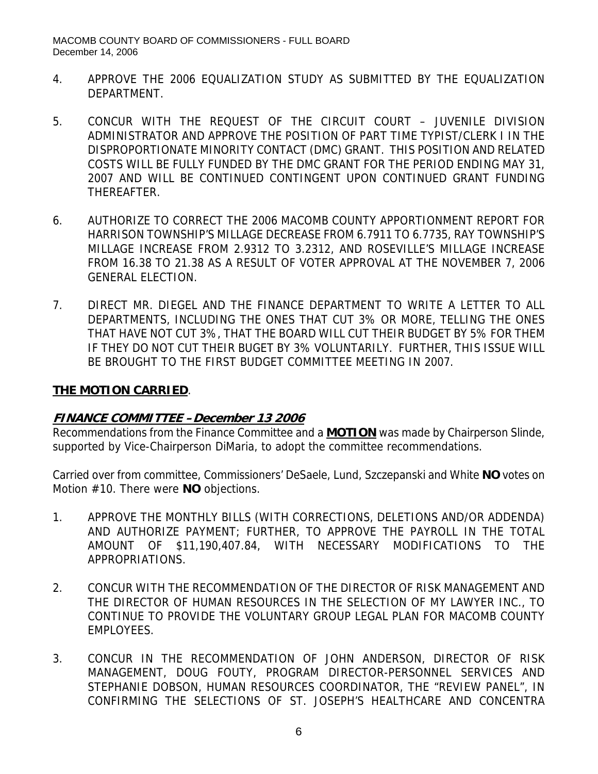- 4. APPROVE THE 2006 EQUALIZATION STUDY AS SUBMITTED BY THE EQUALIZATION DEPARTMENT.
- 5. CONCUR WITH THE REQUEST OF THE CIRCUIT COURT JUVENILE DIVISION ADMINISTRATOR AND APPROVE THE POSITION OF PART TIME TYPIST/CLERK I IN THE DISPROPORTIONATE MINORITY CONTACT (DMC) GRANT. THIS POSITION AND RELATED COSTS WILL BE FULLY FUNDED BY THE DMC GRANT FOR THE PERIOD ENDING MAY 31, 2007 AND WILL BE CONTINUED CONTINGENT UPON CONTINUED GRANT FUNDING THEREAFTER.
- 6. AUTHORIZE TO CORRECT THE 2006 MACOMB COUNTY APPORTIONMENT REPORT FOR HARRISON TOWNSHIP'S MILLAGE DECREASE FROM 6.7911 TO 6.7735, RAY TOWNSHIP'S MILLAGE INCREASE FROM 2.9312 TO 3.2312, AND ROSEVILLE'S MILLAGE INCREASE FROM 16.38 TO 21.38 AS A RESULT OF VOTER APPROVAL AT THE NOVEMBER 7, 2006 GENERAL ELECTION.
- 7. DIRECT MR. DIEGEL AND THE FINANCE DEPARTMENT TO WRITE A LETTER TO ALL DEPARTMENTS, INCLUDING THE ONES THAT CUT 3% OR MORE, TELLING THE ONES THAT HAVE NOT CUT 3%, THAT THE BOARD WILL CUT THEIR BUDGET BY 5% FOR THEM IF THEY DO NOT CUT THEIR BUGET BY 3% VOLUNTARILY. FURTHER, THIS ISSUE WILL BE BROUGHT TO THE FIRST BUDGET COMMITTEE MEETING IN 2007.

## **THE MOTION CARRIED**.

# **FINANCE COMMITTEE –December 13 2006**

Recommendations from the Finance Committee and a **MOTION** was made by Chairperson Slinde, supported by Vice-Chairperson DiMaria, to adopt the committee recommendations.

Carried over from committee, Commissioners' DeSaele, Lund, Szczepanski and White **NO** votes on Motion #10. There were **NO** objections.

- 1. APPROVE THE MONTHLY BILLS (WITH CORRECTIONS, DELETIONS AND/OR ADDENDA) AND AUTHORIZE PAYMENT; FURTHER, TO APPROVE THE PAYROLL IN THE TOTAL AMOUNT OF \$11,190,407.84, WITH NECESSARY MODIFICATIONS TO THE APPROPRIATIONS.
- 2. CONCUR WITH THE RECOMMENDATION OF THE DIRECTOR OF RISK MANAGEMENT AND THE DIRECTOR OF HUMAN RESOURCES IN THE SELECTION OF MY LAWYER INC., TO CONTINUE TO PROVIDE THE VOLUNTARY GROUP LEGAL PLAN FOR MACOMB COUNTY EMPLOYEES.
- 3. CONCUR IN THE RECOMMENDATION OF JOHN ANDERSON, DIRECTOR OF RISK MANAGEMENT, DOUG FOUTY, PROGRAM DIRECTOR-PERSONNEL SERVICES AND STEPHANIE DOBSON, HUMAN RESOURCES COORDINATOR, THE "REVIEW PANEL", IN CONFIRMING THE SELECTIONS OF ST. JOSEPH'S HEALTHCARE AND CONCENTRA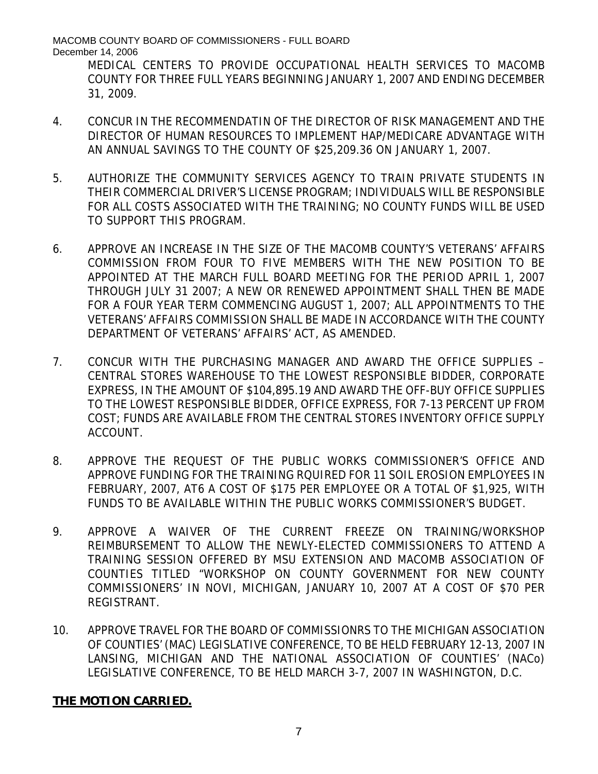MEDICAL CENTERS TO PROVIDE OCCUPATIONAL HEALTH SERVICES TO MACOMB COUNTY FOR THREE FULL YEARS BEGINNING JANUARY 1, 2007 AND ENDING DECEMBER 31, 2009.

- 4. CONCUR IN THE RECOMMENDATIN OF THE DIRECTOR OF RISK MANAGEMENT AND THE DIRECTOR OF HUMAN RESOURCES TO IMPLEMENT HAP/MEDICARE ADVANTAGE WITH AN ANNUAL SAVINGS TO THE COUNTY OF \$25,209.36 ON JANUARY 1, 2007.
- 5. AUTHORIZE THE COMMUNITY SERVICES AGENCY TO TRAIN PRIVATE STUDENTS IN THEIR COMMERCIAL DRIVER'S LICENSE PROGRAM; INDIVIDUALS WILL BE RESPONSIBLE FOR ALL COSTS ASSOCIATED WITH THE TRAINING; NO COUNTY FUNDS WILL BE USED TO SUPPORT THIS PROGRAM.
- 6. APPROVE AN INCREASE IN THE SIZE OF THE MACOMB COUNTY'S VETERANS' AFFAIRS COMMISSION FROM FOUR TO FIVE MEMBERS WITH THE NEW POSITION TO BE APPOINTED AT THE MARCH FULL BOARD MEETING FOR THE PERIOD APRIL 1, 2007 THROUGH JULY 31 2007; A NEW OR RENEWED APPOINTMENT SHALL THEN BE MADE FOR A FOUR YEAR TERM COMMENCING AUGUST 1, 2007; ALL APPOINTMENTS TO THE VETERANS' AFFAIRS COMMISSION SHALL BE MADE IN ACCORDANCE WITH THE COUNTY DEPARTMENT OF VETERANS' AFFAIRS' ACT, AS AMENDED.
- 7. CONCUR WITH THE PURCHASING MANAGER AND AWARD THE OFFICE SUPPLIES CENTRAL STORES WAREHOUSE TO THE LOWEST RESPONSIBLE BIDDER, CORPORATE EXPRESS, IN THE AMOUNT OF \$104,895.19 AND AWARD THE OFF-BUY OFFICE SUPPLIES TO THE LOWEST RESPONSIBLE BIDDER, OFFICE EXPRESS, FOR 7-13 PERCENT UP FROM COST; FUNDS ARE AVAILABLE FROM THE CENTRAL STORES INVENTORY OFFICE SUPPLY ACCOUNT.
- 8. APPROVE THE REQUEST OF THE PUBLIC WORKS COMMISSIONER'S OFFICE AND APPROVE FUNDING FOR THE TRAINING RQUIRED FOR 11 SOIL EROSION EMPLOYEES IN FEBRUARY, 2007, AT6 A COST OF \$175 PER EMPLOYEE OR A TOTAL OF \$1,925, WITH FUNDS TO BE AVAILABLE WITHIN THE PUBLIC WORKS COMMISSIONER'S BUDGET.
- 9. APPROVE A WAIVER OF THE CURRENT FREEZE ON TRAINING/WORKSHOP REIMBURSEMENT TO ALLOW THE NEWLY-ELECTED COMMISSIONERS TO ATTEND A TRAINING SESSION OFFERED BY MSU EXTENSION AND MACOMB ASSOCIATION OF COUNTIES TITLED "WORKSHOP ON COUNTY GOVERNMENT FOR NEW COUNTY COMMISSIONERS' IN NOVI, MICHIGAN, JANUARY 10, 2007 AT A COST OF \$70 PER REGISTRANT.
- 10. APPROVE TRAVEL FOR THE BOARD OF COMMISSIONRS TO THE MICHIGAN ASSOCIATION OF COUNTIES' (MAC) LEGISLATIVE CONFERENCE, TO BE HELD FEBRUARY 12-13, 2007 IN LANSING, MICHIGAN AND THE NATIONAL ASSOCIATION OF COUNTIES' (NACo) LEGISLATIVE CONFERENCE, TO BE HELD MARCH 3-7, 2007 IN WASHINGTON, D.C.

# **THE MOTION CARRIED.**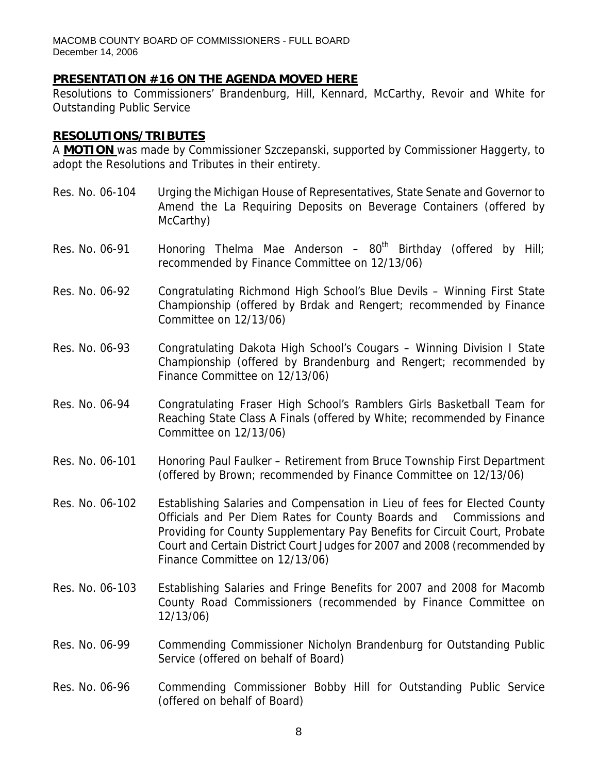#### **PRESENTATION #16 ON THE AGENDA MOVED HERE**

Resolutions to Commissioners' Brandenburg, Hill, Kennard, McCarthy, Revoir and White for Outstanding Public Service

#### **RESOLUTIONS/TRIBUTES**

A **MOTION** was made by Commissioner Szczepanski, supported by Commissioner Haggerty, to adopt the Resolutions and Tributes in their entirety.

- Res. No. 06-104 Urging the Michigan House of Representatives, State Senate and Governor to Amend the La Requiring Deposits on Beverage Containers (offered by McCarthy)
- Res. No. 06-91 Honoring Thelma Mae Anderson  $80<sup>th</sup>$  Birthday (offered by Hill; recommended by Finance Committee on 12/13/06)
- Res. No. 06-92 Congratulating Richmond High School's Blue Devils Winning First State Championship (offered by Brdak and Rengert; recommended by Finance Committee on 12/13/06)
- Res. No. 06-93 Congratulating Dakota High School's Cougars Winning Division I State Championship (offered by Brandenburg and Rengert; recommended by Finance Committee on 12/13/06)
- Res. No. 06-94 Congratulating Fraser High School's Ramblers Girls Basketball Team for Reaching State Class A Finals (offered by White; recommended by Finance Committee on 12/13/06)
- Res. No. 06-101 Honoring Paul Faulker Retirement from Bruce Township First Department (offered by Brown; recommended by Finance Committee on 12/13/06)
- Res. No. 06-102 Establishing Salaries and Compensation in Lieu of fees for Elected County Officials and Per Diem Rates for County Boards and Commissions and Providing for County Supplementary Pay Benefits for Circuit Court, Probate Court and Certain District Court Judges for 2007 and 2008 (recommended by Finance Committee on 12/13/06)
- Res. No. 06-103 Establishing Salaries and Fringe Benefits for 2007 and 2008 for Macomb County Road Commissioners (recommended by Finance Committee on 12/13/06)
- Res. No. 06-99 Commending Commissioner Nicholyn Brandenburg for Outstanding Public Service (offered on behalf of Board)
- Res. No. 06-96 Commending Commissioner Bobby Hill for Outstanding Public Service (offered on behalf of Board)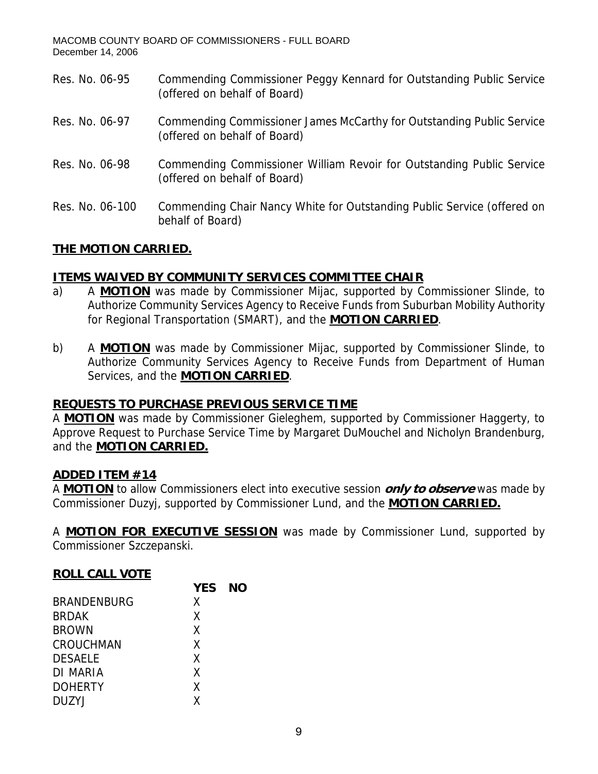Res. No. 06-95 Commending Commissioner Peggy Kennard for Outstanding Public Service (offered on behalf of Board) Res. No. 06-97 Commending Commissioner James McCarthy for Outstanding Public Service (offered on behalf of Board) Res. No. 06-98 Commending Commissioner William Revoir for Outstanding Public Service (offered on behalf of Board) Res. No. 06-100 Commending Chair Nancy White for Outstanding Public Service (offered on behalf of Board)

# **THE MOTION CARRIED.**

# **ITEMS WAIVED BY COMMUNITY SERVICES COMMITTEE CHAIR**

- a) A **MOTION** was made by Commissioner Mijac, supported by Commissioner Slinde, to Authorize Community Services Agency to Receive Funds from Suburban Mobility Authority for Regional Transportation (SMART), and the **MOTION CARRIED**.
- b) A **MOTION** was made by Commissioner Mijac, supported by Commissioner Slinde, to Authorize Community Services Agency to Receive Funds from Department of Human Services, and the **MOTION CARRIED**.

#### **REQUESTS TO PURCHASE PREVIOUS SERVICE TIME**

A **MOTION** was made by Commissioner Gieleghem, supported by Commissioner Haggerty, to Approve Request to Purchase Service Time by Margaret DuMouchel and Nicholyn Brandenburg, and the **MOTION CARRIED.**

#### **ADDED ITEM #14**

A **MOTION** to allow Commissioners elect into executive session **only to observe** was made by Commissioner Duzyj, supported by Commissioner Lund, and the **MOTION CARRIED.**

A **MOTION FOR EXECUTIVE SESSION** was made by Commissioner Lund, supported by Commissioner Szczepanski.

# **ROLL CALL VOTE**

|                    | <b>YES</b> | NΟ |
|--------------------|------------|----|
| <b>BRANDENBURG</b> | X          |    |
| <b>BRDAK</b>       | X          |    |
| <b>BROWN</b>       | X          |    |
| CROUCHMAN          | X          |    |
| <b>DESAELE</b>     | X          |    |
| DI MARIA           | X          |    |
| <b>DOHERTY</b>     | X          |    |
| <b>DUZYJ</b>       | Χ          |    |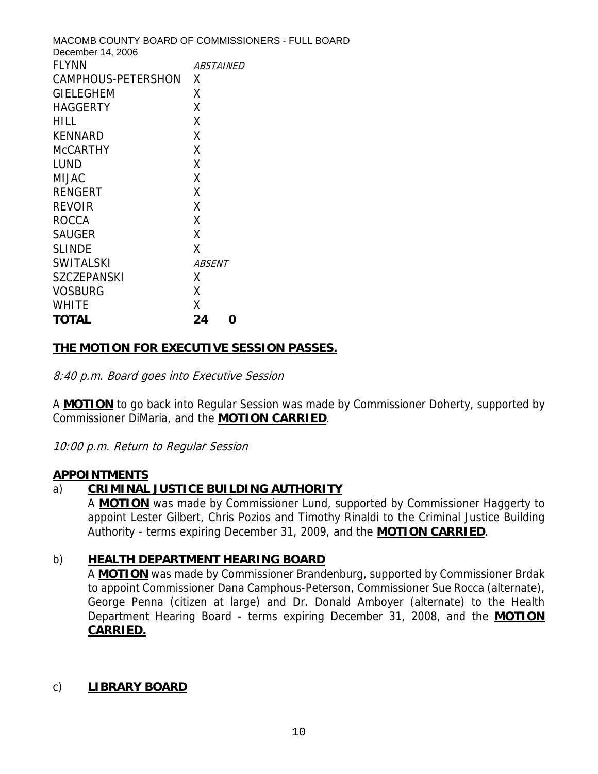MACOMB COUNTY BOARD OF COMMISSIONERS - FULL BOARD December 14, 2006 FLYNN ABSTAINED CAMPHOUS-PETERSHON X GIELEGHEM X HAGGERTY X HILL X KENNARD X McCARTHY X LUND X MIJAC X RENGERT X REVOIR X ROCCA X SAUGER X SLINDE X SWITALSKI *ABSENT* SZCZEPANSKI X VOSBURG X WHITE X **TOTAL 24 0** 

## **THE MOTION FOR EXECUTIVE SESSION PASSES.**

8:40 p.m. Board goes into Executive Session

A **MOTION** to go back into Regular Session was made by Commissioner Doherty, supported by Commissioner DiMaria, and the **MOTION CARRIED**.

10:00 p.m. Return to Regular Session

#### **APPOINTMENTS**

#### a) **CRIMINAL JUSTICE BUILDING AUTHORITY**

A **MOTION** was made by Commissioner Lund, supported by Commissioner Haggerty to appoint Lester Gilbert, Chris Pozios and Timothy Rinaldi to the Criminal Justice Building Authority - terms expiring December 31, 2009, and the **MOTION CARRIED**.

#### b) **HEALTH DEPARTMENT HEARING BOARD**

A **MOTION** was made by Commissioner Brandenburg, supported by Commissioner Brdak to appoint Commissioner Dana Camphous-Peterson, Commissioner Sue Rocca (alternate), George Penna (citizen at large) and Dr. Donald Amboyer (alternate) to the Health Department Hearing Board - terms expiring December 31, 2008, and the **MOTION CARRIED.**

#### c) **LIBRARY BOARD**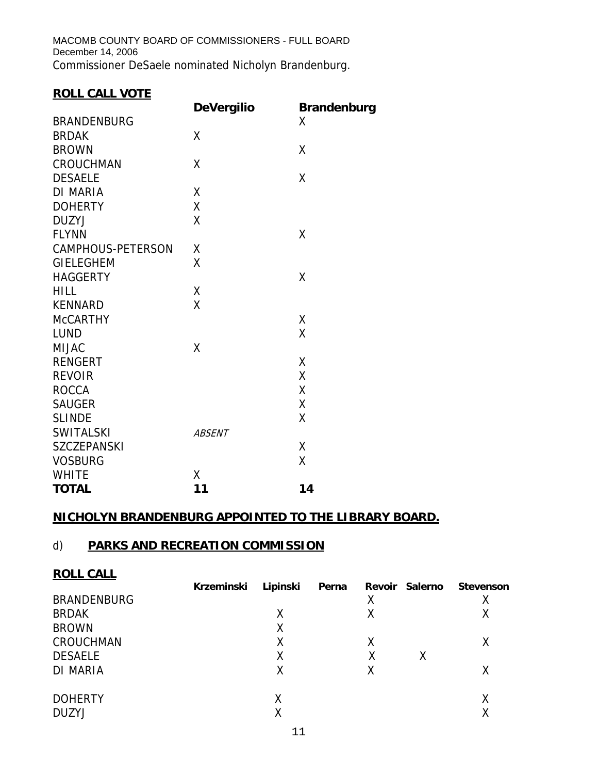MACOMB COUNTY BOARD OF COMMISSIONERS - FULL BOARD December 14, 2006 Commissioner DeSaele nominated Nicholyn Brandenburg.

# **ROLL CALL VOTE**

|                    | <b>DeVergilio</b> | <b>Brandenburg</b> |
|--------------------|-------------------|--------------------|
| <b>BRANDENBURG</b> |                   | X                  |
| <b>BRDAK</b>       | X                 |                    |
| <b>BROWN</b>       |                   | X                  |
| <b>CROUCHMAN</b>   | X                 |                    |
| <b>DESAELE</b>     |                   | X                  |
| <b>DI MARIA</b>    | Χ                 |                    |
| <b>DOHERTY</b>     | X                 |                    |
| <b>DUZYJ</b>       | X                 |                    |
| <b>FLYNN</b>       |                   | X                  |
| CAMPHOUS-PETERSON  | χ                 |                    |
| <b>GIELEGHEM</b>   | X                 |                    |
| <b>HAGGERTY</b>    |                   | X                  |
| <b>HILL</b>        | X                 |                    |
| <b>KENNARD</b>     | X                 |                    |
| <b>McCARTHY</b>    |                   | χ                  |
| <b>LUND</b>        |                   | X                  |
| <b>MIJAC</b>       | X                 |                    |
| <b>RENGERT</b>     |                   | X                  |
| <b>REVOIR</b>      |                   | Χ                  |
| <b>ROCCA</b>       |                   | X                  |
| <b>SAUGER</b>      |                   | X                  |
| <b>SLINDE</b>      |                   | X                  |
| <b>SWITALSKI</b>   | <b>ABSENT</b>     |                    |
| <b>SZCZEPANSKI</b> |                   | X                  |
| <b>VOSBURG</b>     |                   | X                  |
| <b>WHITE</b>       | X                 |                    |
| <b>TOTAL</b>       | 11                | 14                 |

# **NICHOLYN BRANDENBURG APPOINTED TO THE LIBRARY BOARD.**

## d) **PARKS AND RECREATION COMMISSION**

| <b>ROLL CALL</b>   |            |          |       |   |                |                  |
|--------------------|------------|----------|-------|---|----------------|------------------|
|                    | Krzeminski | Lipinski | Perna |   | Revoir Salerno | <b>Stevenson</b> |
| <b>BRANDENBURG</b> |            |          |       | Χ |                |                  |
| <b>BRDAK</b>       |            | Х        |       | χ |                | ⋏                |
| <b>BROWN</b>       |            | Χ        |       |   |                |                  |
| CROUCHMAN          |            |          |       | Χ |                |                  |
| <b>DESAELE</b>     |            | Χ        |       | Χ | Χ              |                  |
| <b>DI MARIA</b>    |            | Χ        |       | Χ |                | X                |
| <b>DOHERTY</b>     |            | Χ        |       |   |                | Χ                |
| <b>DUZYJ</b>       |            |          |       |   |                |                  |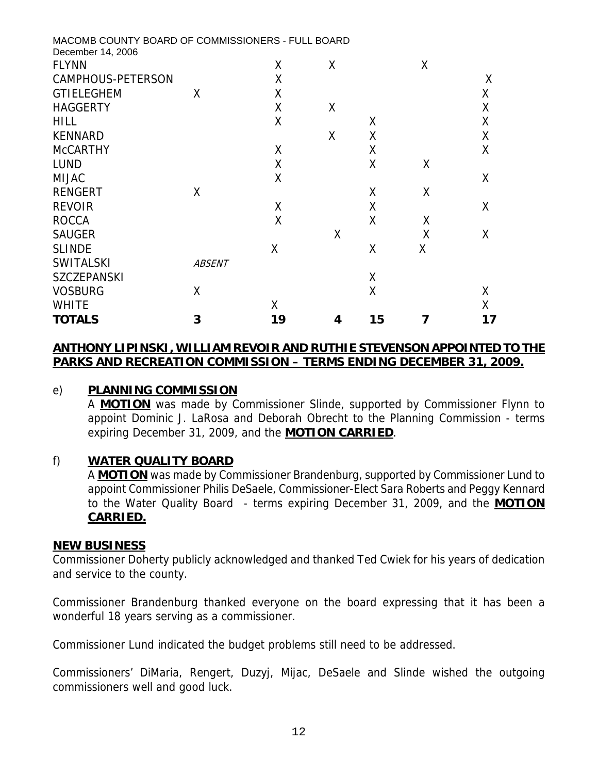| MACOMB COUNTY BOARD OF COMMISSIONERS - FULL BOARD<br>December 14, 2006 |               |    |   |    |   |    |
|------------------------------------------------------------------------|---------------|----|---|----|---|----|
| <b>FLYNN</b>                                                           |               | X  | X |    | X |    |
| CAMPHOUS-PETERSON                                                      |               | X  |   |    |   | X  |
| <b>GTIELEGHEM</b>                                                      | X             | X  |   |    |   | Χ  |
| <b>HAGGERTY</b>                                                        |               | X  | X |    |   | X  |
| <b>HILL</b>                                                            |               | X  |   | X  |   | Χ  |
| <b>KENNARD</b>                                                         |               |    | X | X  |   | Χ  |
| <b>McCARTHY</b>                                                        |               | X  |   | Χ  |   | Χ  |
| <b>LUND</b>                                                            |               | X  |   | X  | X |    |
| <b>MIJAC</b>                                                           |               | X  |   |    |   | X  |
| <b>RENGERT</b>                                                         | X             |    |   | X  | X |    |
| <b>REVOIR</b>                                                          |               | X  |   | X  |   | X  |
| <b>ROCCA</b>                                                           |               | X  |   | X  | Χ |    |
| <b>SAUGER</b>                                                          |               |    | X |    | Χ | X  |
| <b>SLINDE</b>                                                          |               | X  |   | X  | Χ |    |
| <b>SWITALSKI</b>                                                       | <b>ABSENT</b> |    |   |    |   |    |
| <b>SZCZEPANSKI</b>                                                     |               |    |   | Χ  |   |    |
| <b>VOSBURG</b>                                                         | Χ             |    |   | X  |   | X  |
| <b>WHITE</b>                                                           |               | Χ  |   |    |   | X  |
| <b>TOTALS</b>                                                          | 3             | 19 | 4 | 15 |   | 17 |

#### **ANTHONY LIPINSKI, WILLIAM REVOIR AND RUTHIE STEVENSON APPOINTED TO THE PARKS AND RECREATION COMMISSION – TERMS ENDING DECEMBER 31, 2009.**

## e) **PLANNING COMMISSION**

A **MOTION** was made by Commissioner Slinde, supported by Commissioner Flynn to appoint Dominic J. LaRosa and Deborah Obrecht to the Planning Commission - terms expiring December 31, 2009, and the **MOTION CARRIED**.

#### f) **WATER QUALITY BOARD**

A **MOTION** was made by Commissioner Brandenburg, supported by Commissioner Lund to appoint Commissioner Philis DeSaele, Commissioner-Elect Sara Roberts and Peggy Kennard to the Water Quality Board - terms expiring December 31, 2009, and the **MOTION CARRIED.**

#### **NEW BUSINESS**

Commissioner Doherty publicly acknowledged and thanked Ted Cwiek for his years of dedication and service to the county.

Commissioner Brandenburg thanked everyone on the board expressing that it has been a wonderful 18 years serving as a commissioner.

Commissioner Lund indicated the budget problems still need to be addressed.

Commissioners' DiMaria, Rengert, Duzyj, Mijac, DeSaele and Slinde wished the outgoing commissioners well and good luck.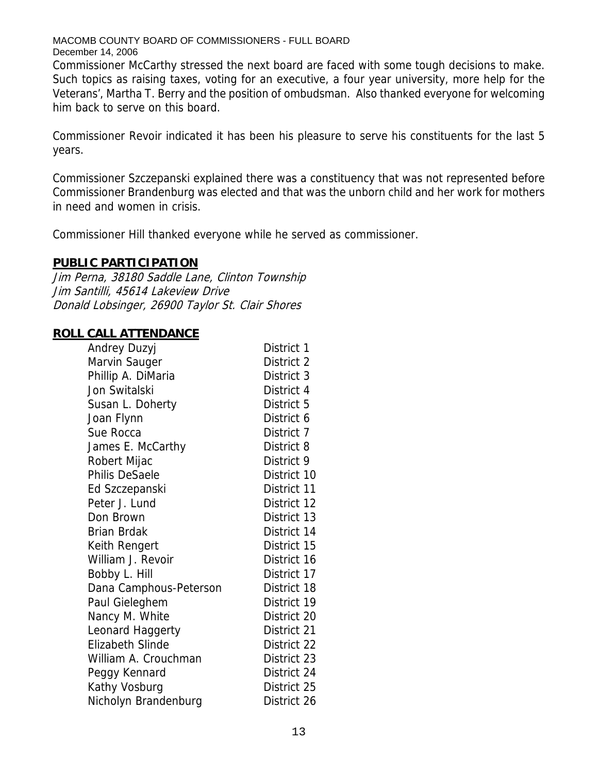Commissioner McCarthy stressed the next board are faced with some tough decisions to make. Such topics as raising taxes, voting for an executive, a four year university, more help for the Veterans', Martha T. Berry and the position of ombudsman. Also thanked everyone for welcoming him back to serve on this board.

Commissioner Revoir indicated it has been his pleasure to serve his constituents for the last 5 years.

Commissioner Szczepanski explained there was a constituency that was not represented before Commissioner Brandenburg was elected and that was the unborn child and her work for mothers in need and women in crisis.

Commissioner Hill thanked everyone while he served as commissioner.

#### **PUBLIC PARTICIPATION**

Jim Perna, 38180 Saddle Lane, Clinton Township Jim Santilli, 45614 Lakeview Drive Donald Lobsinger, 26900 Taylor St. Clair Shores

#### **ROLL CALL ATTENDANCE**

| Andrey Duzyj            | District 1  |
|-------------------------|-------------|
| Marvin Sauger           | District 2  |
| Phillip A. DiMaria      | District 3  |
| Jon Switalski           | District 4  |
| Susan L. Doherty        | District 5  |
| Joan Flynn              | District 6  |
| Sue Rocca               | District 7  |
| James E. McCarthy       | District 8  |
| Robert Mijac            | District 9  |
| <b>Philis DeSaele</b>   | District 10 |
| Ed Szczepanski          | District 11 |
| Peter J. Lund           | District 12 |
| Don Brown               | District 13 |
| <b>Brian Brdak</b>      | District 14 |
| Keith Rengert           | District 15 |
| William J. Revoir       | District 16 |
| Bobby L. Hill           | District 17 |
| Dana Camphous-Peterson  | District 18 |
| Paul Gieleghem          | District 19 |
| Nancy M. White          | District 20 |
| Leonard Haggerty        | District 21 |
| <b>Elizabeth Slinde</b> | District 22 |
| William A. Crouchman    | District 23 |
| Peggy Kennard           | District 24 |
| Kathy Vosburg           | District 25 |
| Nicholyn Brandenburg    | District 26 |